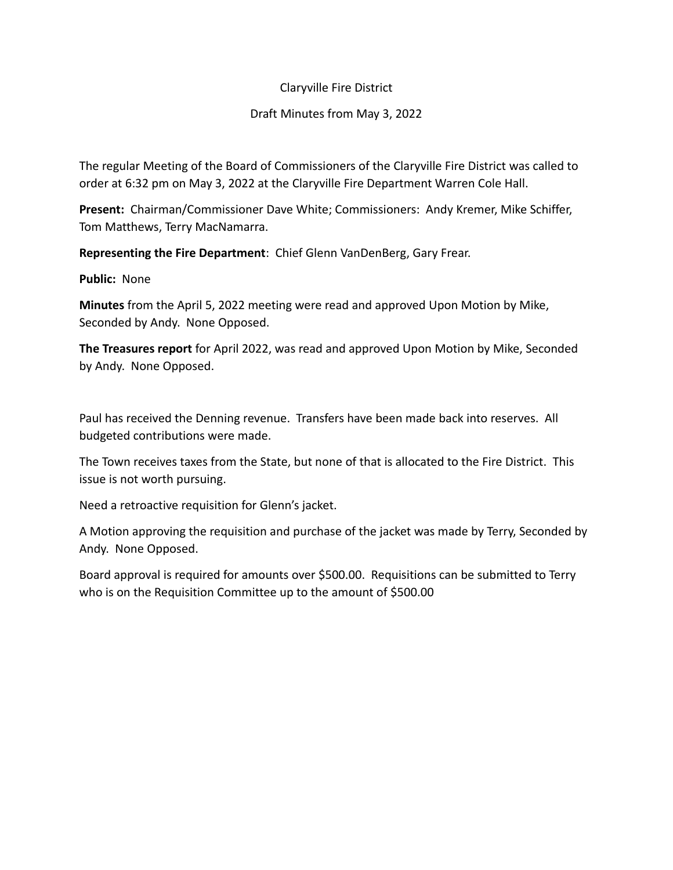## Claryville Fire District

## Draft Minutes from May 3, 2022

The regular Meeting of the Board of Commissioners of the Claryville Fire District was called to order at 6:32 pm on May 3, 2022 at the Claryville Fire Department Warren Cole Hall.

**Present:** Chairman/Commissioner Dave White; Commissioners: Andy Kremer, Mike Schiffer, Tom Matthews, Terry MacNamarra.

**Representing the Fire Department**: Chief Glenn VanDenBerg, Gary Frear.

**Public:** None

**Minutes** from the April 5, 2022 meeting were read and approved Upon Motion by Mike, Seconded by Andy. None Opposed.

**The Treasures report** for April 2022, was read and approved Upon Motion by Mike, Seconded by Andy. None Opposed.

Paul has received the Denning revenue. Transfers have been made back into reserves. All budgeted contributions were made.

The Town receives taxes from the State, but none of that is allocated to the Fire District. This issue is not worth pursuing.

Need a retroactive requisition for Glenn's jacket.

A Motion approving the requisition and purchase of the jacket was made by Terry, Seconded by Andy. None Opposed.

Board approval is required for amounts over \$500.00. Requisitions can be submitted to Terry who is on the Requisition Committee up to the amount of \$500.00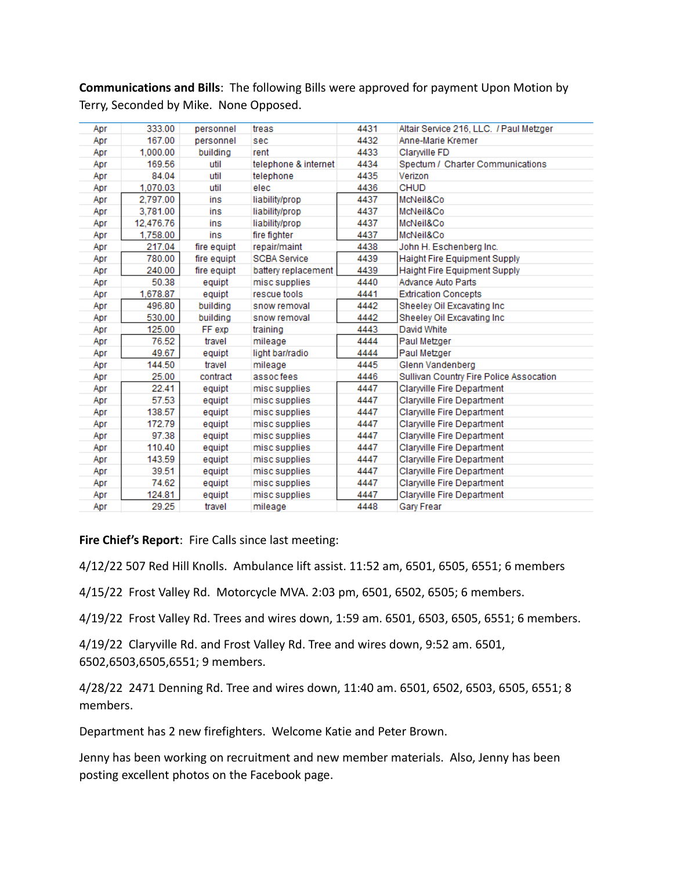**Communications and Bills**: The following Bills were approved for payment Upon Motion by Terry, Seconded by Mike. None Opposed.

| Apr | 333.00    | personnel   | treas                | 4431 | Altair Service 216, LLC. / Paul Metzger |
|-----|-----------|-------------|----------------------|------|-----------------------------------------|
| Apr | 167.00    | personnel   | sec                  | 4432 | Anne-Marie Kremer                       |
| Apr | 1.000.00  | buildina    | rent                 | 4433 | Clarwille FD                            |
| Apr | 169.56    | util        | telephone & internet | 4434 | Spectum / Charter Communications        |
| Apr | 84.04     | util        | telephone            | 4435 | Verizon                                 |
| Apr | 1,070.03  | util        | elec                 | 4436 | <b>CHUD</b>                             |
| Apr | 2,797.00  | ins         | liability/prop       | 4437 | McNeil&Co                               |
| Apr | 3,781.00  | ins         | liability/prop       | 4437 | McNeil&Co                               |
| Apr | 12,476.76 | ins         | liability/prop       | 4437 | McNeil&Co                               |
| Apr | 1,758.00  | ins         | fire fighter         | 4437 | McNeil&Co                               |
| Apr | 217.04    | fire equipt | repair/maint         | 4438 | John H. Eschenberg Inc.                 |
| Apr | 780.00    | fire equipt | <b>SCBA Service</b>  | 4439 | Haight Fire Equipment Supply            |
| Apr | 240.00    | fire equipt | battery replacement  | 4439 | Haight Fire Equipment Supply            |
| Apr | 50.38     | equipt      | misc supplies        | 4440 | <b>Advance Auto Parts</b>               |
| Apr | 1,678.87  | equipt      | rescue tools         | 4441 | <b>Extrication Concepts</b>             |
| Apr | 496.80    | building    | snow removal         | 4442 | Sheeley Oil Excavating Inc              |
| Apr | 530.00    | building    | snow removal         | 4442 | Sheeley Oil Excavating Inc              |
| Apr | 125.00    | FF exp      | training             | 4443 | David White                             |
| Apr | 76.52     | travel      | mileage              | 4444 | Paul Metzger                            |
| Apr | 49.67     | equipt      | light bar/radio      | 4444 | Paul Metzger                            |
| Apr | 144.50    | travel      | mileage              | 4445 | Glenn Vandenberg                        |
| Apr | 25.00     | contract    | assoc fees           | 4446 | Sullivan Country Fire Police Assocation |
| Apr | 22.41     | equipt      | misc supplies        | 4447 | Clarwille Fire Department               |
| Apr | 57.53     | equipt      | misc supplies        | 4447 | Clarwille Fire Department               |
| Apr | 138.57    | equipt      | misc supplies        | 4447 | Claryville Fire Department              |
| Apr | 172.79    | equipt      | misc supplies        | 4447 | Claryville Fire Department              |
| Apr | 97.38     | equipt      | misc supplies        | 4447 | Claryville Fire Department              |
| Apr | 110.40    | equipt      | misc supplies        | 4447 | Claryville Fire Department              |
| Apr | 143.59    | equipt      | misc supplies        | 4447 | Claryville Fire Department              |
| Apr | 39.51     | equipt      | misc supplies        | 4447 | Clarwille Fire Department               |
| Apr | 74.62     | equipt      | misc supplies        | 4447 | Claryville Fire Department              |
| Apr | 124.81    | equipt      | misc supplies        | 4447 | Claryville Fire Department              |
| Apr | 29.25     | travel      | mileage              | 4448 | Gary Frear                              |

**Fire Chief's Report**: Fire Calls since last meeting:

4/12/22 507 Red Hill Knolls. Ambulance lift assist. 11:52 am, 6501, 6505, 6551; 6 members

4/15/22 Frost Valley Rd. Motorcycle MVA. 2:03 pm, 6501, 6502, 6505; 6 members.

4/19/22 Frost Valley Rd. Trees and wires down, 1:59 am. 6501, 6503, 6505, 6551; 6 members.

4/19/22 Claryville Rd. and Frost Valley Rd. Tree and wires down, 9:52 am. 6501, 6502,6503,6505,6551; 9 members.

4/28/22 2471 Denning Rd. Tree and wires down, 11:40 am. 6501, 6502, 6503, 6505, 6551; 8 members.

Department has 2 new firefighters. Welcome Katie and Peter Brown.

Jenny has been working on recruitment and new member materials. Also, Jenny has been posting excellent photos on the Facebook page.